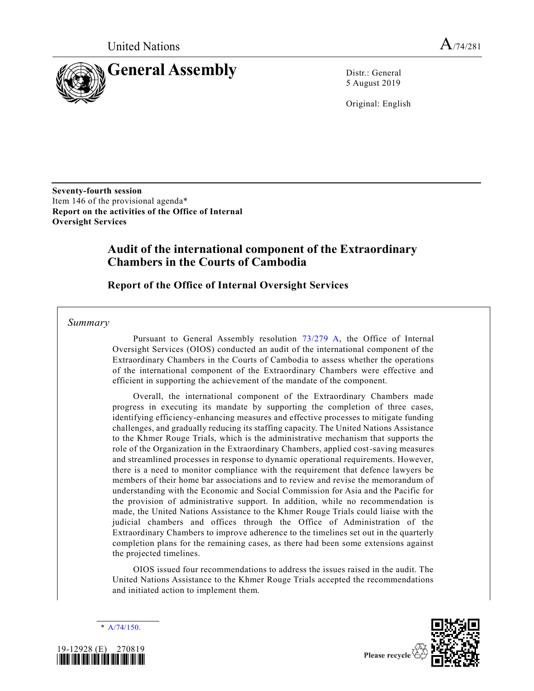

5 August 2019

Original: English

**Seventy-fourth session** Item 146 of the provisional agenda\* **Report on the activities of the Office of Internal Oversight Services**

# **Audit of the international component of the Extraordinary Chambers in the Courts of Cambodia**

**Report of the Office of Internal Oversight Services**

*Summary*

Pursuant to General Assembly resolution [73/279 A,](https://undocs.org/A/RES/73/279) the Office of Internal Oversight Services (OIOS) conducted an audit of the international component of the Extraordinary Chambers in the Courts of Cambodia to assess whether the operations of the international component of the Extraordinary Chambers were effective and efficient in supporting the achievement of the mandate of the component.

Overall, the international component of the Extraordinary Chambers made progress in executing its mandate by supporting the completion of three cases, identifying efficiency-enhancing measures and effective processes to mitigate funding challenges, and gradually reducing its staffing capacity. The United Nations Assistance to the Khmer Rouge Trials, which is the administrative mechanism that supports the role of the Organization in the Extraordinary Chambers, applied cost-saving measures and streamlined processes in response to dynamic operational requirements. However, there is a need to monitor compliance with the requirement that defence lawyers be members of their home bar associations and to review and revise the memorandum of understanding with the Economic and Social Commission for Asia and the Pacific for the provision of administrative support. In addition, while no recommendation is made, the United Nations Assistance to the Khmer Rouge Trials could liaise with the judicial chambers and offices through the Office of Administration of the Extraordinary Chambers to improve adherence to the timelines set out in the quarterly completion plans for the remaining cases, as there had been some extensions against the projected timelines.

OIOS issued four recommendations to address the issues raised in the audit. The United Nations Assistance to the Khmer Rouge Trials accepted the recommendations and initiated action to implement them.

[A/74/150.](https://undocs.org/A/74/150)





Please recycle  $\Diamond$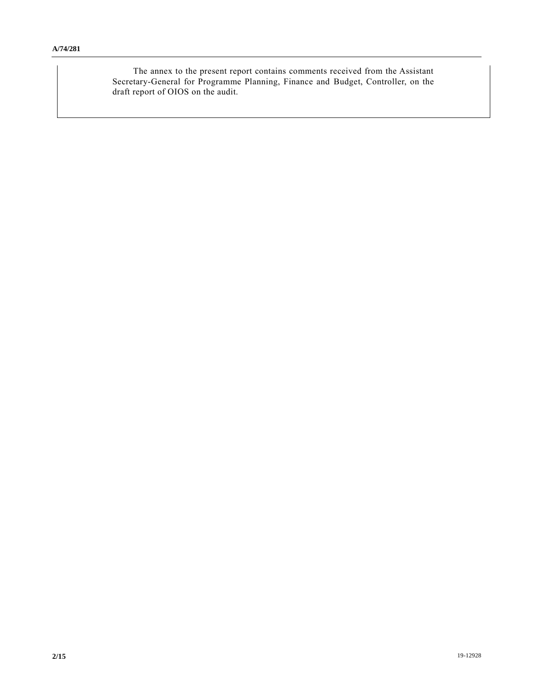The annex to the present report contains comments received from the Assistant Secretary-General for Programme Planning, Finance and Budget, Controller, on the draft report of OIOS on the audit.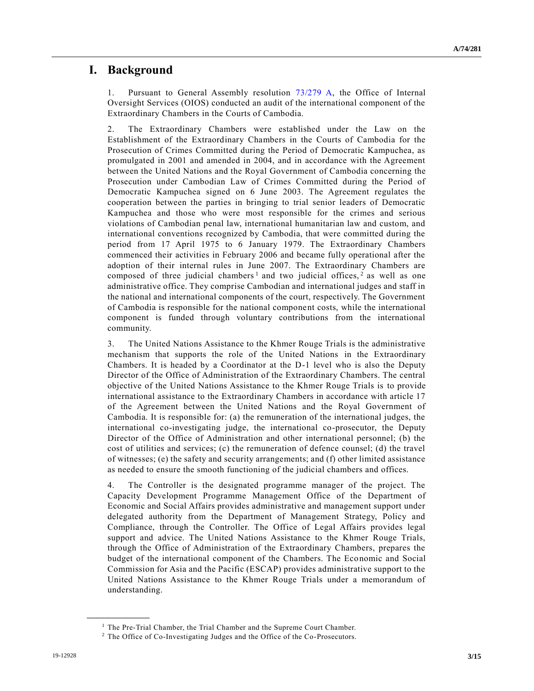## **I. Background**

1. Pursuant to General Assembly resolution [73/279 A,](https://undocs.org/A/RES/73/279) the Office of Internal Oversight Services (OIOS) conducted an audit of the international component of the Extraordinary Chambers in the Courts of Cambodia.

2. The Extraordinary Chambers were established under the Law on the Establishment of the Extraordinary Chambers in the Courts of Cambodia for the Prosecution of Crimes Committed during the Period of Democratic Kampuchea, as promulgated in 2001 and amended in 2004, and in accordance with the Agreement between the United Nations and the Royal Government of Cambodia concerning the Prosecution under Cambodian Law of Crimes Committed during the Period of Democratic Kampuchea signed on 6 June 2003. The Agreement regulates the cooperation between the parties in bringing to trial senior leaders of Democratic Kampuchea and those who were most responsible for the crimes and serious violations of Cambodian penal law, international humanitarian law and custom, and international conventions recognized by Cambodia, that were committed during the period from 17 April 1975 to 6 January 1979. The Extraordinary Chambers commenced their activities in February 2006 and became fully operational after the adoption of their internal rules in June 2007. The Extraordinary Chambers are composed of three judicial chambers<sup>1</sup> and two judicial offices,<sup>2</sup> as well as one administrative office. They comprise Cambodian and international judges and staff in the national and international components of the court, respectively. The Government of Cambodia is responsible for the national component costs, while the international component is funded through voluntary contributions from the international community.

3. The United Nations Assistance to the Khmer Rouge Trials is the administrative mechanism that supports the role of the United Nations in the Extraordinary Chambers. It is headed by a Coordinator at the D-1 level who is also the Deputy Director of the Office of Administration of the Extraordinary Chambers. The central objective of the United Nations Assistance to the Khmer Rouge Trials is to provide international assistance to the Extraordinary Chambers in accordance with article 17 of the Agreement between the United Nations and the Royal Government of Cambodia. It is responsible for: (a) the remuneration of the international judges, the international co-investigating judge, the international co-prosecutor, the Deputy Director of the Office of Administration and other international personnel; (b) the cost of utilities and services; (c) the remuneration of defence counsel; (d) the travel of witnesses; (e) the safety and security arrangements; and (f) other limited assistance as needed to ensure the smooth functioning of the judicial chambers and offices.

4. The Controller is the designated programme manager of the project. The Capacity Development Programme Management Office of the Department of Economic and Social Affairs provides administrative and management support under delegated authority from the Department of Management Strategy, Policy and Compliance, through the Controller. The Office of Legal Affairs provides legal support and advice. The United Nations Assistance to the Khmer Rouge Trials, through the Office of Administration of the Extraordinary Chambers, prepares the budget of the international component of the Chambers. The Economic and Social Commission for Asia and the Pacific (ESCAP) provides administrative support to the United Nations Assistance to the Khmer Rouge Trials under a memorandum of understanding.

**\_\_\_\_\_\_\_\_\_\_\_\_\_\_\_\_\_\_**

<sup>&</sup>lt;sup>1</sup> The Pre-Trial Chamber, the Trial Chamber and the Supreme Court Chamber.

<sup>2</sup> The Office of Co-Investigating Judges and the Office of the Co-Prosecutors.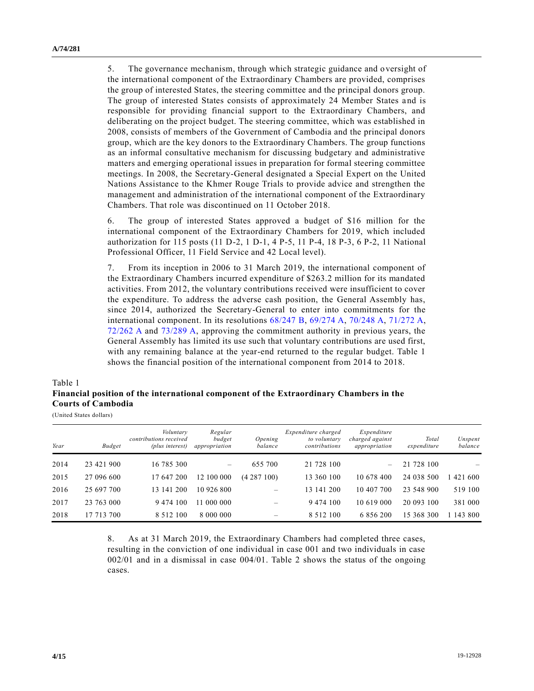5. The governance mechanism, through which strategic guidance and oversight of the international component of the Extraordinary Chambers are provided, comprises the group of interested States, the steering committee and the principal donors group. The group of interested States consists of approximately 24 Member States and is responsible for providing financial support to the Extraordinary Chambers, and deliberating on the project budget. The steering committee, which was established in 2008, consists of members of the Government of Cambodia and the principal donors group, which are the key donors to the Extraordinary Chambers. The group functions as an informal consultative mechanism for discussing budgetary and administrative matters and emerging operational issues in preparation for formal steering committee meetings. In 2008, the Secretary-General designated a Special Expert on the United Nations Assistance to the Khmer Rouge Trials to provide advice and strengthen the management and administration of the international component of the Extraordinary Chambers. That role was discontinued on 11 October 2018.

6. The group of interested States approved a budget of \$16 million for the international component of the Extraordinary Chambers for 2019, which included authorization for 115 posts (11 D-2, 1 D-1, 4 P-5, 11 P-4, 18 P-3, 6 P-2, 11 National Professional Officer, 11 Field Service and 42 Local level).

7. From its inception in 2006 to 31 March 2019, the international component of the Extraordinary Chambers incurred expenditure of \$263.2 million for its mandated activities. From 2012, the voluntary contributions received were insufficient to cover the expenditure. To address the adverse cash position, the General Assembly has, since 2014, authorized the Secretary-General to enter into commitments for the international component. In its resolutions [68/247 B,](https://undocs.org/A/RES/68/247b) [69/274 A,](https://undocs.org/A/RES/69/274) [70/248 A,](https://undocs.org/A/RES/70/248) [71/272 A,](https://undocs.org/A/RES/71/272) [72/262 A](https://undocs.org/A/RES/72/262) and [73/289 A,](https://undocs.org/A/RES/73/289) approving the commitment authority in previous years, the General Assembly has limited its use such that voluntary contributions are used first, with any remaining balance at the year-end returned to the regular budget. Table 1 shows the financial position of the international component from 2014 to 2018.

#### Table 1

## **Financial position of the international component of the Extraordinary Chambers in the Courts of Cambodia**

(United States dollars)

| Year | <b>Budget</b> | Voluntary<br>contributions received<br>(plus interest) | Regular<br>budget<br>appropriation | Opening<br>balance | Expenditure charged<br>to voluntary<br>contributions | Expenditure<br>charged against<br>appropriation | Total<br>expenditure | Unspent<br>balance |
|------|---------------|--------------------------------------------------------|------------------------------------|--------------------|------------------------------------------------------|-------------------------------------------------|----------------------|--------------------|
| 2014 | 23 421 900    | 16 785 300                                             | $\overline{\phantom{m}}$           | 655 700            | 21 728 100                                           | $\equiv$                                        | 21 728 100           |                    |
| 2015 | 27 096 600    | 17 647 200                                             | 12 100 000                         | (4287100)          | 13 360 100                                           | 10 678 400                                      | 24 038 500           | 421 600            |
| 2016 | 25 697 700    | 13 141 200                                             | 10 926 800                         |                    | 13 141 200                                           | 10 407 700                                      | 23 548 900           | 519 100            |
| 2017 | 23 763 000    | 9 474 100                                              | 000 000<br>11                      |                    | 9 4 7 4 1 0 0                                        | 10 619 000                                      | 20 093 100           | 381 000            |
| 2018 | 17 713 700    | 8 5 1 2 1 0 0                                          | 8 000 000                          |                    | 8 5 1 2 1 0 0                                        | 6 856 200                                       | 15 368 300           | 143 800            |

8. As at 31 March 2019, the Extraordinary Chambers had completed three cases, resulting in the conviction of one individual in case 001 and two individuals in case 002/01 and in a dismissal in case 004/01. Table 2 shows the status of the ongoing cases.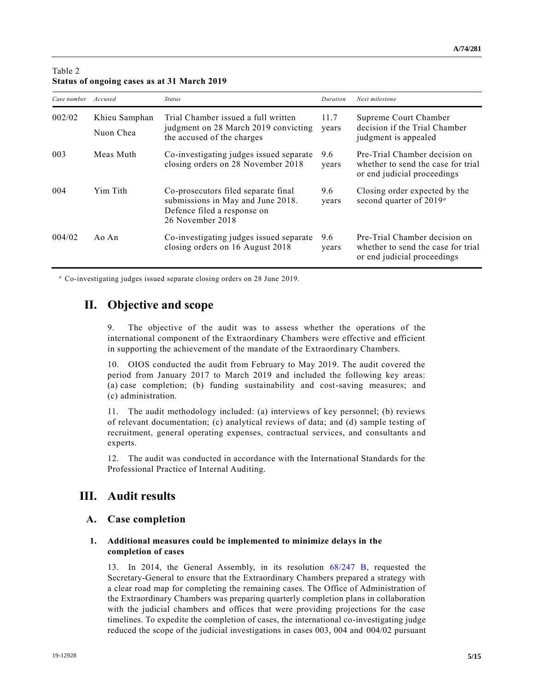| Case number | Accused                    | <b>Status</b>                                                                                                               | Duration      | Next milestone                                                                                     |
|-------------|----------------------------|-----------------------------------------------------------------------------------------------------------------------------|---------------|----------------------------------------------------------------------------------------------------|
| 002/02      | Khieu Samphan<br>Nuon Chea | Trial Chamber issued a full written<br>judgment on 28 March 2019 convicting<br>the accused of the charges                   | 11.7<br>years | Supreme Court Chamber<br>decision if the Trial Chamber<br>judgment is appealed                     |
| 003         | Meas Muth                  | Co-investigating judges issued separate<br>closing orders on 28 November 2018                                               | 9.6<br>years  | Pre-Trial Chamber decision on<br>whether to send the case for trial<br>or end judicial proceedings |
| 004         | Yim Tith                   | Co-prosecutors filed separate final<br>submissions in May and June 2018.<br>Defence filed a response on<br>26 November 2018 | 9.6<br>years  | Closing order expected by the<br>second quarter of 2019 <sup>a</sup>                               |
| 004/02      | Ao An                      | Co-investigating judges issued separate<br>closing orders on 16 August 2018                                                 | 9.6<br>years  | Pre-Trial Chamber decision on<br>whether to send the case for trial<br>or end judicial proceedings |

### Table 2 **Status of ongoing cases as at 31 March 2019**

*<sup>a</sup>* Co-investigating judges issued separate closing orders on 28 June 2019.

## **II. Objective and scope**

9. The objective of the audit was to assess whether the operations of the international component of the Extraordinary Chambers were effective and efficient in supporting the achievement of the mandate of the Extraordinary Chambers.

10. OIOS conducted the audit from February to May 2019. The audit covered the period from January 2017 to March 2019 and included the following key areas: (a) case completion; (b) funding sustainability and cost-saving measures; and (c) administration.

11. The audit methodology included: (a) interviews of key personnel; (b) reviews of relevant documentation; (c) analytical reviews of data; and (d) sample testing of recruitment, general operating expenses, contractual services, and consultants a nd experts.

12. The audit was conducted in accordance with the International Standards for the Professional Practice of Internal Auditing.

# **III. Audit results**

### **A. Case completion**

#### **1. Additional measures could be implemented to minimize delays in the completion of cases**

13. In 2014, the General Assembly, in its resolution [68/247 B,](https://undocs.org/A/RES/68/247b) requested the Secretary-General to ensure that the Extraordinary Chambers prepared a strategy with a clear road map for completing the remaining cases. The Office of Administration of the Extraordinary Chambers was preparing quarterly completion plans in collaboration with the judicial chambers and offices that were providing projections for the case timelines. To expedite the completion of cases, the international co-investigating judge reduced the scope of the judicial investigations in cases 003, 004 and 004/02 pursuant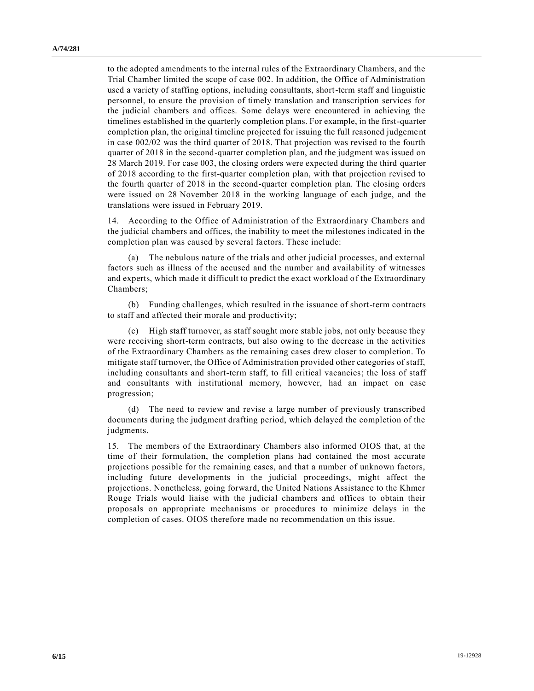to the adopted amendments to the internal rules of the Extraordinary Chambers, and the Trial Chamber limited the scope of case 002. In addition, the Office of Administration used a variety of staffing options, including consultants, short-term staff and linguistic personnel, to ensure the provision of timely translation and transcription services for the judicial chambers and offices. Some delays were encountered in achieving the timelines established in the quarterly completion plans. For example, in the first-quarter completion plan, the original timeline projected for issuing the full reasoned judgeme nt in case 002/02 was the third quarter of 2018. That projection was revised to the fourth quarter of 2018 in the second-quarter completion plan, and the judgment was issued on 28 March 2019. For case 003, the closing orders were expected during the third quarter of 2018 according to the first-quarter completion plan, with that projection revised to the fourth quarter of 2018 in the second-quarter completion plan. The closing orders were issued on 28 November 2018 in the working language of each judge, and the translations were issued in February 2019.

14. According to the Office of Administration of the Extraordinary Chambers and the judicial chambers and offices, the inability to meet the milestones indicated in the completion plan was caused by several factors. These include:

The nebulous nature of the trials and other judicial processes, and external factors such as illness of the accused and the number and availability of witnesses and experts, which made it difficult to predict the exact workload of the Extraordinary Chambers;

(b) Funding challenges, which resulted in the issuance of short-term contracts to staff and affected their morale and productivity;

(c) High staff turnover, as staff sought more stable jobs, not only because they were receiving short-term contracts, but also owing to the decrease in the activities of the Extraordinary Chambers as the remaining cases drew closer to completion. To mitigate staff turnover, the Office of Administration provided other categories of staff, including consultants and short-term staff, to fill critical vacancies; the loss of staff and consultants with institutional memory, however, had an impact on case progression;

(d) The need to review and revise a large number of previously transcribed documents during the judgment drafting period, which delayed the completion of the judgments.

15. The members of the Extraordinary Chambers also informed OIOS that, at the time of their formulation, the completion plans had contained the most accurate projections possible for the remaining cases, and that a number of unknown factors, including future developments in the judicial proceedings, might affect the projections. Nonetheless, going forward, the United Nations Assistance to the Khmer Rouge Trials would liaise with the judicial chambers and offices to obtain their proposals on appropriate mechanisms or procedures to minimize delays in the completion of cases. OIOS therefore made no recommendation on this issue.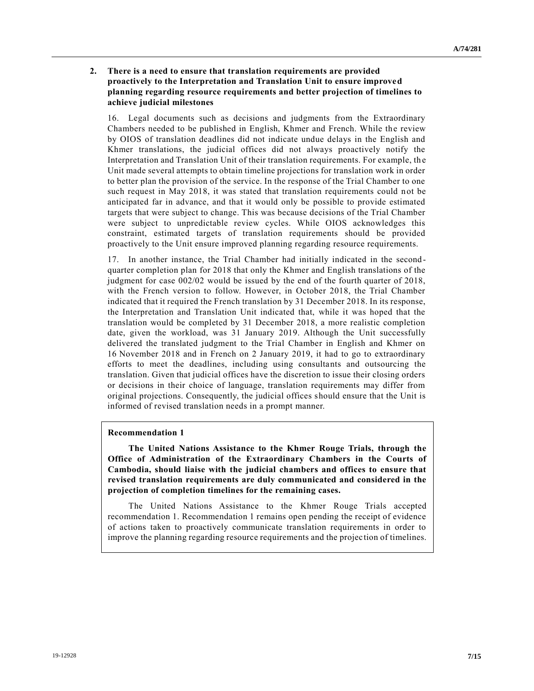#### **2. There is a need to ensure that translation requirements are provided proactively to the Interpretation and Translation Unit to ensure improved planning regarding resource requirements and better projection of timelines to achieve judicial milestones**

16. Legal documents such as decisions and judgments from the Extraordinary Chambers needed to be published in English, Khmer and French. While the review by OIOS of translation deadlines did not indicate undue delays in the English and Khmer translations, the judicial offices did not always proactively notify the Interpretation and Translation Unit of their translation requirements. For example, th e Unit made several attempts to obtain timeline projections for translation work in order to better plan the provision of the service. In the response of the Trial Chamber to one such request in May 2018, it was stated that translation requirements could not be anticipated far in advance, and that it would only be possible to provide estimated targets that were subject to change. This was because decisions of the Trial Chamber were subject to unpredictable review cycles. While OIOS acknowledges this constraint, estimated targets of translation requirements should be provided proactively to the Unit ensure improved planning regarding resource requirements.

17. In another instance, the Trial Chamber had initially indicated in the second quarter completion plan for 2018 that only the Khmer and English translations of the judgment for case 002/02 would be issued by the end of the fourth quarter of 2018, with the French version to follow. However, in October 2018, the Trial Chamber indicated that it required the French translation by 31 December 2018. In its response, the Interpretation and Translation Unit indicated that, while it was hoped that the translation would be completed by 31 December 2018, a more realistic completion date, given the workload, was 31 January 2019. Although the Unit successfully delivered the translated judgment to the Trial Chamber in English and Khmer on 16 November 2018 and in French on 2 January 2019, it had to go to extraordinary efforts to meet the deadlines, including using consultants and outsourcing the translation. Given that judicial offices have the discretion to issue their closing orders or decisions in their choice of language, translation requirements may differ from original projections. Consequently, the judicial offices should ensure that the Unit is informed of revised translation needs in a prompt manner.

#### **Recommendation 1**

**The United Nations Assistance to the Khmer Rouge Trials, through the Office of Administration of the Extraordinary Chambers in the Courts of Cambodia, should liaise with the judicial chambers and offices to ensure that revised translation requirements are duly communicated and considered in the projection of completion timelines for the remaining cases.**

The United Nations Assistance to the Khmer Rouge Trials accepted recommendation 1. Recommendation 1 remains open pending the receipt of evidence of actions taken to proactively communicate translation requirements in order to improve the planning regarding resource requirements and the projection of timelines.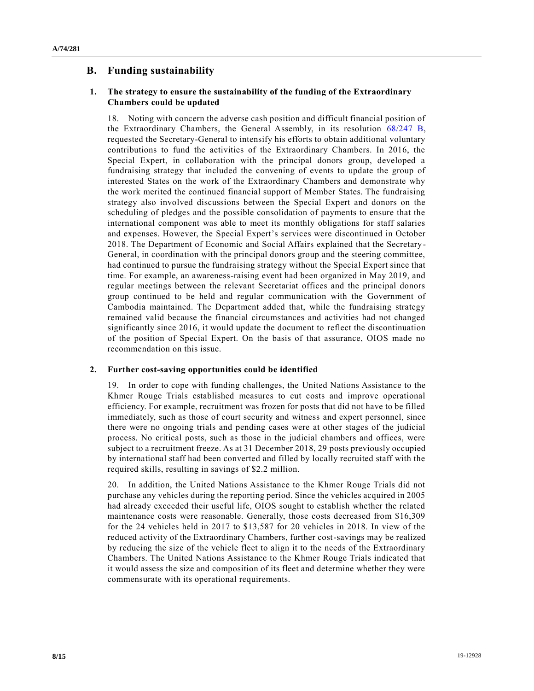## **B. Funding sustainability**

#### **1. The strategy to ensure the sustainability of the funding of the Extraordinary Chambers could be updated**

18. Noting with concern the adverse cash position and difficult financial position of the Extraordinary Chambers, the General Assembly, in its resolution [68/247 B,](https://undocs.org/A/RES/68/247b) requested the Secretary-General to intensify his efforts to obtain additional voluntary contributions to fund the activities of the Extraordinary Chambers. In 2016, the Special Expert, in collaboration with the principal donors group, developed a fundraising strategy that included the convening of events to update the group of interested States on the work of the Extraordinary Chambers and demonstrate why the work merited the continued financial support of Member States. The fundraising strategy also involved discussions between the Special Expert and donors on the scheduling of pledges and the possible consolidation of payments to ensure that the international component was able to meet its monthly obligations for staff salaries and expenses. However, the Special Expert's services were discontinued in October 2018. The Department of Economic and Social Affairs explained that the Secretary - General, in coordination with the principal donors group and the steering committee, had continued to pursue the fundraising strategy without the Special Expert since that time. For example, an awareness-raising event had been organized in May 2019, and regular meetings between the relevant Secretariat offices and the principal donors group continued to be held and regular communication with the Government of Cambodia maintained. The Department added that, while the fundraising strategy remained valid because the financial circumstances and activities had not changed significantly since 2016, it would update the document to reflect the discontinuation of the position of Special Expert. On the basis of that assurance, OIOS made no recommendation on this issue.

#### **2. Further cost-saving opportunities could be identified**

19. In order to cope with funding challenges, the United Nations Assistance to the Khmer Rouge Trials established measures to cut costs and improve operational efficiency. For example, recruitment was frozen for posts that did not have to be filled immediately, such as those of court security and witness and expert personnel, since there were no ongoing trials and pending cases were at other stages of the judicial process. No critical posts, such as those in the judicial chambers and offices, were subject to a recruitment freeze. As at 31 December 2018, 29 posts previously occupied by international staff had been converted and filled by locally recruited staff with the required skills, resulting in savings of \$2.2 million.

20. In addition, the United Nations Assistance to the Khmer Rouge Trials did not purchase any vehicles during the reporting period. Since the vehicles acquired in 2005 had already exceeded their useful life, OIOS sought to establish whether the related maintenance costs were reasonable. Generally, those costs decreased from \$16,309 for the 24 vehicles held in 2017 to \$13,587 for 20 vehicles in 2018. In view of the reduced activity of the Extraordinary Chambers, further cost-savings may be realized by reducing the size of the vehicle fleet to align it to the needs of the Extraordinary Chambers. The United Nations Assistance to the Khmer Rouge Trials indicated that it would assess the size and composition of its fleet and determine whether they were commensurate with its operational requirements.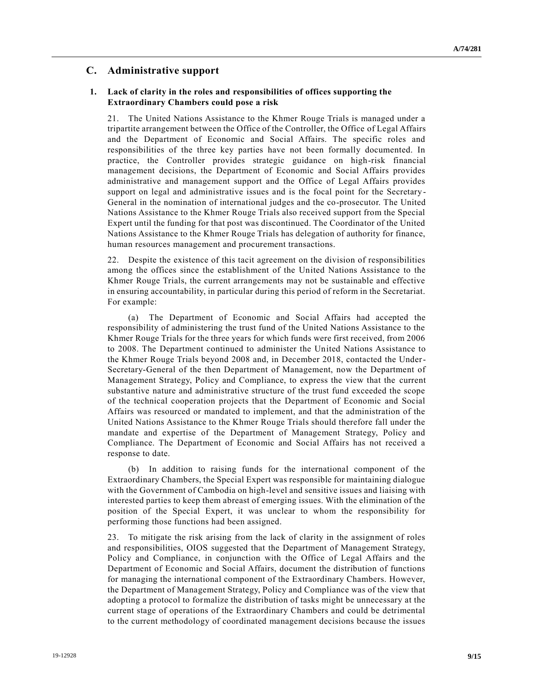### **C. Administrative support**

#### **1. Lack of clarity in the roles and responsibilities of offices supporting the Extraordinary Chambers could pose a risk**

21. The United Nations Assistance to the Khmer Rouge Trials is managed under a tripartite arrangement between the Office of the Controller, the Office of Legal Affairs and the Department of Economic and Social Affairs. The specific roles and responsibilities of the three key parties have not been formally documented. In practice, the Controller provides strategic guidance on high-risk financial management decisions, the Department of Economic and Social Affairs provides administrative and management support and the Office of Legal Affairs provides support on legal and administrative issues and is the focal point for the Secretary - General in the nomination of international judges and the co-prosecutor. The United Nations Assistance to the Khmer Rouge Trials also received support from the Special Expert until the funding for that post was discontinued. The Coordinator of the United Nations Assistance to the Khmer Rouge Trials has delegation of authority for finance, human resources management and procurement transactions.

22. Despite the existence of this tacit agreement on the division of responsibilities among the offices since the establishment of the United Nations Assistance to the Khmer Rouge Trials, the current arrangements may not be sustainable and effective in ensuring accountability, in particular during this period of reform in the Secretariat. For example:

(a) The Department of Economic and Social Affairs had accepted the responsibility of administering the trust fund of the United Nations Assistance to the Khmer Rouge Trials for the three years for which funds were first received, from 2006 to 2008. The Department continued to administer the United Nations Assistance to the Khmer Rouge Trials beyond 2008 and, in December 2018, contacted the Under-Secretary-General of the then Department of Management, now the Department of Management Strategy, Policy and Compliance, to express the view that the current substantive nature and administrative structure of the trust fund exceeded the scope of the technical cooperation projects that the Department of Economic and Social Affairs was resourced or mandated to implement, and that the administration of the United Nations Assistance to the Khmer Rouge Trials should therefore fall under the mandate and expertise of the Department of Management Strategy, Policy and Compliance. The Department of Economic and Social Affairs has not received a response to date.

(b) In addition to raising funds for the international component of the Extraordinary Chambers, the Special Expert was responsible for maintaining dialogue with the Government of Cambodia on high-level and sensitive issues and liaising with interested parties to keep them abreast of emerging issues. With the elimination of the position of the Special Expert, it was unclear to whom the responsibility for performing those functions had been assigned.

23. To mitigate the risk arising from the lack of clarity in the assignment of roles and responsibilities, OIOS suggested that the Department of Management Strategy, Policy and Compliance, in conjunction with the Office of Legal Affairs and the Department of Economic and Social Affairs, document the distribution of functions for managing the international component of the Extraordinary Chambers. However, the Department of Management Strategy, Policy and Compliance was of the view that adopting a protocol to formalize the distribution of tasks might be unnecessary at the current stage of operations of the Extraordinary Chambers and could be detrimental to the current methodology of coordinated management decisions because the issues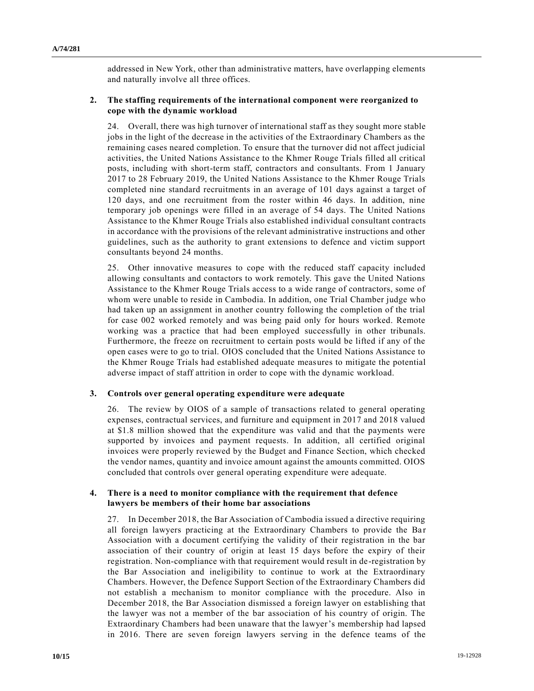addressed in New York, other than administrative matters, have overlapping elements and naturally involve all three offices.

#### **2. The staffing requirements of the international component were reorganized to cope with the dynamic workload**

24. Overall, there was high turnover of international staff as they sought more stable jobs in the light of the decrease in the activities of the Extraordinary Chambers as the remaining cases neared completion. To ensure that the turnover did not affect judicial activities, the United Nations Assistance to the Khmer Rouge Trials filled all critical posts, including with short-term staff, contractors and consultants. From 1 January 2017 to 28 February 2019, the United Nations Assistance to the Khmer Rouge Trials completed nine standard recruitments in an average of 101 days against a target of 120 days, and one recruitment from the roster within 46 days. In addition, nine temporary job openings were filled in an average of 54 days. The United Nations Assistance to the Khmer Rouge Trials also established individual consultant contracts in accordance with the provisions of the relevant administrative instructions and other guidelines, such as the authority to grant extensions to defence and victim support consultants beyond 24 months.

25. Other innovative measures to cope with the reduced staff capacity included allowing consultants and contactors to work remotely. This gave the United Nations Assistance to the Khmer Rouge Trials access to a wide range of contractors, some of whom were unable to reside in Cambodia. In addition, one Trial Chamber judge who had taken up an assignment in another country following the completion of the trial for case 002 worked remotely and was being paid only for hours worked. Remote working was a practice that had been employed successfully in other tribunals. Furthermore, the freeze on recruitment to certain posts would be lifted if any of the open cases were to go to trial. OIOS concluded that the United Nations Assistance to the Khmer Rouge Trials had established adequate measures to mitigate the potential adverse impact of staff attrition in order to cope with the dynamic workload.

#### **3. Controls over general operating expenditure were adequate**

26. The review by OIOS of a sample of transactions related to general operating expenses, contractual services, and furniture and equipment in 2017 and 2018 valued at \$1.8 million showed that the expenditure was valid and that the payments were supported by invoices and payment requests. In addition, all certified original invoices were properly reviewed by the Budget and Finance Section, which checked the vendor names, quantity and invoice amount against the amounts committed. OIOS concluded that controls over general operating expenditure were adequate.

#### **4. There is a need to monitor compliance with the requirement that defence lawyers be members of their home bar associations**

27. In December 2018, the Bar Association of Cambodia issued a directive requiring all foreign lawyers practicing at the Extraordinary Chambers to provide the Bar Association with a document certifying the validity of their registration in the bar association of their country of origin at least 15 days before the expiry of their registration. Non-compliance with that requirement would result in de-registration by the Bar Association and ineligibility to continue to work at the Extraordinary Chambers. However, the Defence Support Section of the Extraordinary Chambers did not establish a mechanism to monitor compliance with the procedure. Also in December 2018, the Bar Association dismissed a foreign lawyer on establishing that the lawyer was not a member of the bar association of his country of origin. The Extraordinary Chambers had been unaware that the lawyer's membership had lapsed in 2016. There are seven foreign lawyers serving in the defence teams of the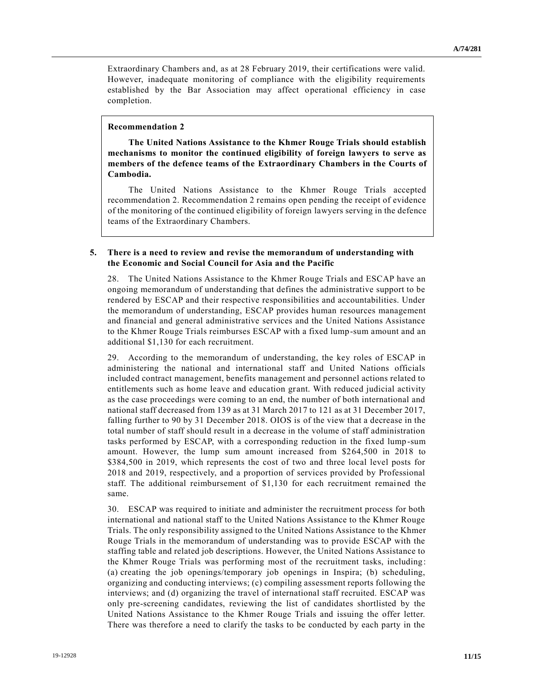Extraordinary Chambers and, as at 28 February 2019, their certifications were valid. However, inadequate monitoring of compliance with the eligibility requirements established by the Bar Association may affect operational efficiency in case completion.

#### **Recommendation 2**

**The United Nations Assistance to the Khmer Rouge Trials should establish mechanisms to monitor the continued eligibility of foreign lawyers to serve as members of the defence teams of the Extraordinary Chambers in the Courts of Cambodia.**

The United Nations Assistance to the Khmer Rouge Trials accepted recommendation 2. Recommendation 2 remains open pending the receipt of evidence of the monitoring of the continued eligibility of foreign lawyers serving in the defence teams of the Extraordinary Chambers.

#### **5. There is a need to review and revise the memorandum of understanding with the Economic and Social Council for Asia and the Pacific**

28. The United Nations Assistance to the Khmer Rouge Trials and ESCAP have an ongoing memorandum of understanding that defines the administrative support to be rendered by ESCAP and their respective responsibilities and accountabilities. Under the memorandum of understanding, ESCAP provides human resources management and financial and general administrative services and the United Nations Assistance to the Khmer Rouge Trials reimburses ESCAP with a fixed lump-sum amount and an additional \$1,130 for each recruitment.

29. According to the memorandum of understanding, the key roles of ESCAP in administering the national and international staff and United Nations officials included contract management, benefits management and personnel actions related to entitlements such as home leave and education grant. With reduced judicial activity as the case proceedings were coming to an end, the number of both international and national staff decreased from 139 as at 31 March 2017 to 121 as at 31 December 2017, falling further to 90 by 31 December 2018. OIOS is of the view that a decrease in the total number of staff should result in a decrease in the volume of staff administration tasks performed by ESCAP, with a corresponding reduction in the fixed lump -sum amount. However, the lump sum amount increased from \$264,500 in 2018 to \$384,500 in 2019, which represents the cost of two and three local level posts for 2018 and 2019, respectively, and a proportion of services provided by Professional staff. The additional reimbursement of \$1,130 for each recruitment remained the same.

30. ESCAP was required to initiate and administer the recruitment process for both international and national staff to the United Nations Assistance to the Khmer Rouge Trials. The only responsibility assigned to the United Nations Assistance to the Khmer Rouge Trials in the memorandum of understanding was to provide ESCAP with the staffing table and related job descriptions. However, the United Nations Assistance to the Khmer Rouge Trials was performing most of the recruitment tasks, including : (a) creating the job openings/temporary job openings in Inspira; (b) scheduling, organizing and conducting interviews; (c) compiling assessment reports following the interviews; and (d) organizing the travel of international staff recruited. ESCAP was only pre-screening candidates, reviewing the list of candidates shortlisted by the United Nations Assistance to the Khmer Rouge Trials and issuing the offer letter. There was therefore a need to clarify the tasks to be conducted by each party in the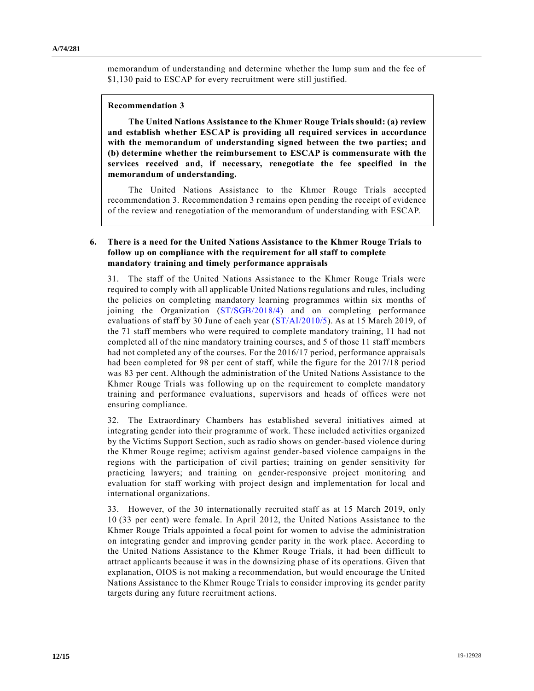memorandum of understanding and determine whether the lump sum and the fee of \$1,130 paid to ESCAP for every recruitment were still justified.

#### **Recommendation 3**

**The United Nations Assistance to the Khmer Rouge Trials should: (a) review and establish whether ESCAP is providing all required services in accordance with the memorandum of understanding signed between the two parties; and (b) determine whether the reimbursement to ESCAP is commensurate with the services received and, if necessary, renegotiate the fee specified in the memorandum of understanding.**

The United Nations Assistance to the Khmer Rouge Trials accepted recommendation 3. Recommendation 3 remains open pending the receipt of evidence of the review and renegotiation of the memorandum of understanding with ESCAP.

#### **6. There is a need for the United Nations Assistance to the Khmer Rouge Trials to follow up on compliance with the requirement for all staff to complete mandatory training and timely performance appraisals**

31. The staff of the United Nations Assistance to the Khmer Rouge Trials were required to comply with all applicable United Nations regulations and rules, including the policies on completing mandatory learning programmes within six months of joining the Organization [\(ST/SGB/2018/4\)](https://undocs.org/ST/SGB/2018/4) and on completing performance evaluations of staff by 30 June of each year [\(ST/AI/2010/5\)](https://undocs.org/ST/AI/2010/5). As at 15 March 2019, of the 71 staff members who were required to complete mandatory training, 11 had not completed all of the nine mandatory training courses, and 5 of those 11 staff members had not completed any of the courses. For the 2016/17 period, performance appraisals had been completed for 98 per cent of staff, while the figure for the 2017/18 period was 83 per cent. Although the administration of the United Nations Assistance to the Khmer Rouge Trials was following up on the requirement to complete mandatory training and performance evaluations, supervisors and heads of offices were not ensuring compliance.

32. The Extraordinary Chambers has established several initiatives aimed at integrating gender into their programme of work. These included activities organized by the Victims Support Section, such as radio shows on gender-based violence during the Khmer Rouge regime; activism against gender-based violence campaigns in the regions with the participation of civil parties; training on gender sensitivity for practicing lawyers; and training on gender-responsive project monitoring and evaluation for staff working with project design and implementation for local and international organizations.

33. However, of the 30 internationally recruited staff as at 15 March 2019, only 10 (33 per cent) were female. In April 2012, the United Nations Assistance to the Khmer Rouge Trials appointed a focal point for women to advise the administration on integrating gender and improving gender parity in the work place. According to the United Nations Assistance to the Khmer Rouge Trials, it had been difficult to attract applicants because it was in the downsizing phase of its operations. Given that explanation, OIOS is not making a recommendation, but would encourage the United Nations Assistance to the Khmer Rouge Trials to consider improving its gender parity targets during any future recruitment actions.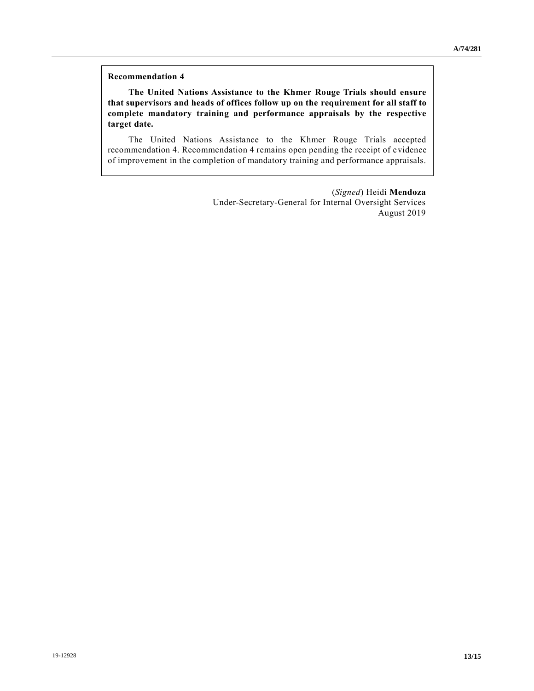#### **Recommendation 4**

**The United Nations Assistance to the Khmer Rouge Trials should ensure that supervisors and heads of offices follow up on the requirement for all staff to complete mandatory training and performance appraisals by the respective target date.**

The United Nations Assistance to the Khmer Rouge Trials accepted recommendation 4. Recommendation 4 remains open pending the receipt of evidence of improvement in the completion of mandatory training and performance appraisals.

> (*Signed*) Heidi **Mendoza** Under-Secretary-General for Internal Oversight Services August 2019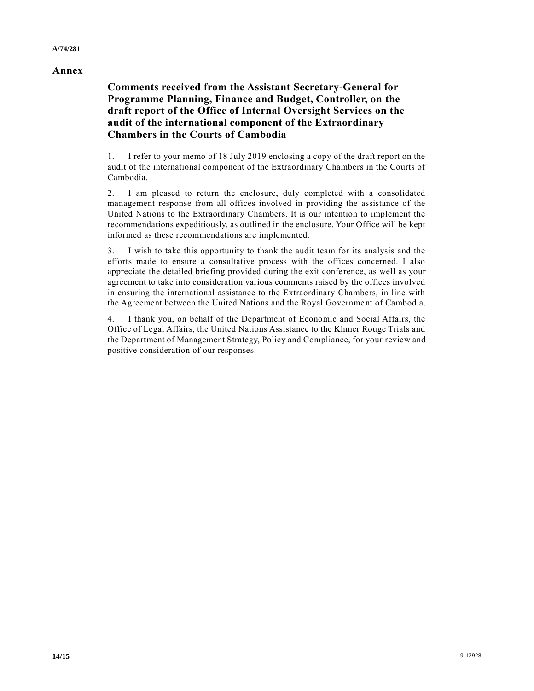#### **Annex**

## **Comments received from the Assistant Secretary-General for Programme Planning, Finance and Budget, Controller, on the draft report of the Office of Internal Oversight Services on the audit of the international component of the Extraordinary Chambers in the Courts of Cambodia**

1. I refer to your memo of 18 July 2019 enclosing a copy of the draft report on the audit of the international component of the Extraordinary Chambers in the Courts of Cambodia.

2. I am pleased to return the enclosure, duly completed with a consolidated management response from all offices involved in providing the assistance of the United Nations to the Extraordinary Chambers. It is our intention to implement the recommendations expeditiously, as outlined in the enclosure. Your Office will be kept informed as these recommendations are implemented.

3. I wish to take this opportunity to thank the audit team for its analysis and the efforts made to ensure a consultative process with the offices concerned. I also appreciate the detailed briefing provided during the exit conference, as well as your agreement to take into consideration various comments raised by the offices involved in ensuring the international assistance to the Extraordinary Chambers, in line with the Agreement between the United Nations and the Royal Government of Cambodia.

4. I thank you, on behalf of the Department of Economic and Social Affairs, the Office of Legal Affairs, the United Nations Assistance to the Khmer Rouge Trials and the Department of Management Strategy, Policy and Compliance, for your review and positive consideration of our responses.